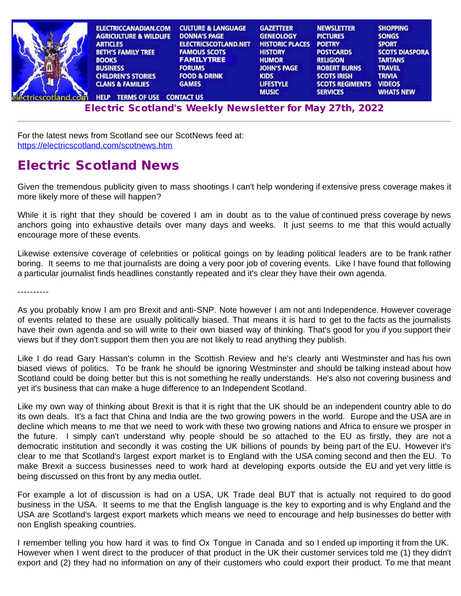| <b>ELECTRICCANADIAN.COM</b>        | <b>CULTURE &amp; LANGUAGE</b> | <b>GAZETTEER</b>       | <b>NEWSLETTER</b>      | <b>SHOPPING</b>       |
|------------------------------------|-------------------------------|------------------------|------------------------|-----------------------|
| <b>AGRICULTURE &amp; WILDLIFE</b>  | <b>DONNA'S PAGE</b>           | <b>GENEOLOGY</b>       | <b>PICTURES</b>        | <b>SONGS</b>          |
| <b>ARTICLES</b>                    | <b>ELECTRICSCOTLAND.NET</b>   | <b>HISTORIC PLACES</b> | <b>POETRY</b>          | <b>SPORT</b>          |
| <b>BETH'S FAMILY TREE</b>          | <b>FAMOUS SCOTS</b>           | <b>HISTORY</b>         | <b>POSTCARDS</b>       | <b>SCOTS DIASPORA</b> |
| <b>BOOKS</b>                       | <b>FAMILYTREE</b>             | <b>HUMOR</b>           | <b>RELIGION</b>        | <b>TARTANS</b>        |
| <b>BUSINESS</b>                    | <b>FORUMS</b>                 | <b>JOHN'S PAGE</b>     | <b>ROBERT BURNS</b>    | <b>TRAVEL</b>         |
| <b>CHILDREN'S STORIES</b>          | <b>FOOD &amp; DRINK</b>       | <b>KIDS</b>            | <b>SCOTS IRISH</b>     | <b>TRIVIA</b>         |
| <b>CLANS &amp; FAMILIES</b>        | <b>GAMES</b>                  | <b>LIFESTYLE</b>       | <b>SCOTS REGIMENTS</b> | <b>VIDEOS</b>         |
|                                    |                               | <b>MUSIC</b>           | <b>SERVICES</b>        | <b>WHATS NEW</b>      |
| <b>TERMS OF USE</b><br><b>HELP</b> | <b>CONTACT US</b>             |                        |                        |                       |

E[lectri](http://www.electricscotland.org/help/)[c Scotlan](http://www.electricscotland.com/ester.htm)[d's Weekly Newslet](http://www.electricscotland.com/contact.htm)[ter for M](http://www.electricscotland.com/music/index.htm)[ay 27th, 202](http://www.electricscotland.com/services/index.htm)[2](http://www.electricscotland.com/whatsnew.htm)

For the latest news from Scotland see our ScotNews feed at: <https://electricscotland.com/scotnews.htm>

# Electric Scotland News

Given the tremendous publicity given to mass shootings I can't help wondering if extensive press coverage makes it more likely more of these will happen?

While it is right that they should be covered I am in doubt as to the value of continued press coverage by news anchors going into exhaustive details over many days and weeks. It just seems to me that this would actually encourage more of these events.

Likewise extensive coverage of celebrities or political goings on by leading political leaders are to be frank rather boring. It seems to me that journalists are doing a very poor job of covering events. Like I have found that following a particular journalist finds headlines constantly repeated and it's clear they have their own agenda.

----------

As you probably know I am pro Brexit and anti-SNP. Note however I am not anti Independence. However coverage of events related to these are usually politically biased. That means it is hard to get to the facts as the journalists have their own agenda and so will write to their own biased way of thinking. That's good for you if you support their views but if they don't support them then you are not likely to read anything they publish.

Like I do read Gary Hassan's column in the Scottish Review and he's clearly anti Westminster and has his own biased views of politics. To be frank he should be ignoring Westminster and should be talking instead about how Scotland could be doing better but this is not something he really understands. He's also not covering business and yet it's business that can make a huge difference to an Independent Scotland.

Like my own way of thinking about Brexit is that it is right that the UK should be an independent country able to do its own deals. It's a fact that China and India are the two growing powers in the world. Europe and the USA are in decline which means to me that we need to work with these two growing nations and Africa to ensure we prosper in the future. I simply can't understand why people should be so attached to the EU as firstly, they are not a democratic institution and secondly it was costing the UK billions of pounds by being part of the EU. However it's clear to me that Scotland's largest export market is to England with the USA coming second and then the EU. To make Brexit a success businesses need to work hard at developing exports outside the EU and yet very little is being discussed on this front by any media outlet.

For example a lot of discussion is had on a USA, UK Trade deal BUT that is actually not required to do good business in the USA. It seems to me that the English language is the key to exporting and is why England and the USA are Scotland's largest export markets which means we need to encourage and help businesses do better with non English speaking countries.

I remember telling you how hard it was to find Ox Tongue in Canada and so I ended up importing it from the UK. However when I went direct to the producer of that product in the UK their customer services told me (1) they didn't export and (2) they had no information on any of their customers who could export their product. To me that meant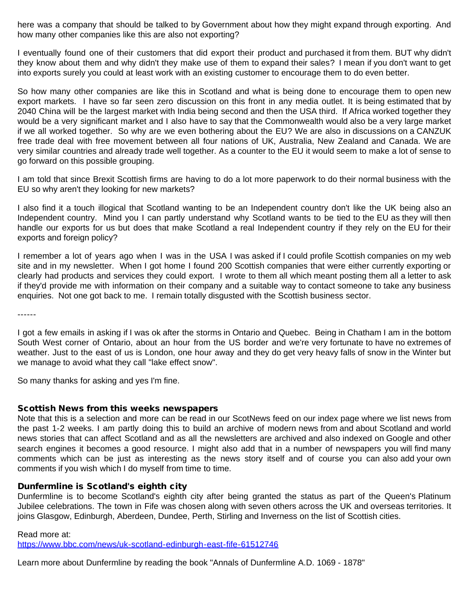here was a company that should be talked to by Government about how they might expand through exporting. And how many other companies like this are also not exporting?

I eventually found one of their customers that did export their product and purchased it from them. BUT why didn't they know about them and why didn't they make use of them to expand their sales? I mean if you don't want to get into exports surely you could at least work with an existing customer to encourage them to do even better.

So how many other companies are like this in Scotland and what is being done to encourage them to open new export markets. I have so far seen zero discussion on this front in any media outlet. It is being estimated that by 2040 China will be the largest market with India being second and then the USA third. If Africa worked together they would be a very significant market and I also have to say that the Commonwealth would also be a very large market if we all worked together. So why are we even bothering about the EU? We are also in discussions on a CANZUK free trade deal with free movement between all four nations of UK, Australia, New Zealand and Canada. We are very similar countries and already trade well together. As a counter to the EU it would seem to make a lot of sense to go forward on this possible grouping.

I am told that since Brexit Scottish firms are having to do a lot more paperwork to do their normal business with the EU so why aren't they looking for new markets?

I also find it a touch illogical that Scotland wanting to be an Independent country don't like the UK being also an Independent country. Mind you I can partly understand why Scotland wants to be tied to the EU as they will then handle our exports for us but does that make Scotland a real Independent country if they rely on the EU for their exports and foreign policy?

I remember a lot of years ago when I was in the USA I was asked if I could profile Scottish companies on my web site and in my newsletter. When I got home I found 200 Scottish companies that were either currently exporting or clearly had products and services they could export. I wrote to them all which meant posting them all a letter to ask if they'd provide me with information on their company and a suitable way to contact someone to take any business enquiries. Not one got back to me. I remain totally disgusted with the Scottish business sector.

------

I got a few emails in asking if I was ok after the storms in Ontario and Quebec. Being in Chatham I am in the bottom South West corner of Ontario, about an hour from the US border and we're very fortunate to have no extremes of weather. Just to the east of us is London, one hour away and they do get very heavy falls of snow in the Winter but we manage to avoid what they call "lake effect snow".

So many thanks for asking and yes I'm fine.

### Scottish News from this weeks newspapers

Note that this is a selection and more can be read in our ScotNews feed on our index page where we list news from the past 1-2 weeks. I am partly doing this to build an archive of modern news from and about Scotland and world news stories that can affect Scotland and as all the newsletters are archived and also indexed on Google and other search engines it becomes a good resource. I might also add that in a number of newspapers you will find many comments which can be just as interesting as the news story itself and of course you can also add your own comments if you wish which I do myself from time to time.

# Dunfermline is Scotland's eighth city

Dunfermline is to become Scotland's eighth city after being granted the status as part of the Queen's Platinum Jubilee celebrations. The town in Fife was chosen along with seven others across the UK and overseas territories. It joins Glasgow, Edinburgh, Aberdeen, Dundee, Perth, Stirling and Inverness on the list of Scottish cities.

Read more at:

<https://www.bbc.com/news/uk-scotland-edinburgh-east-fife-61512746>

Learn more about Dunfermline by reading the book "Annals of Dunfermline A.D. 1069 - 1878"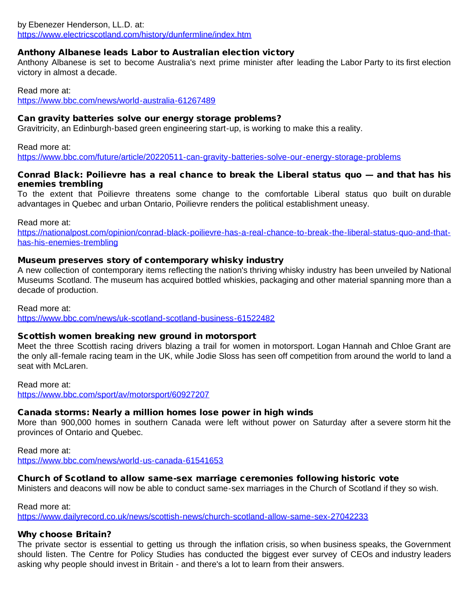### by Ebenezer Henderson, LL.D. at: <https://www.electricscotland.com/history/dunfermline/index.htm>

# Anthony Albanese leads Labor to Australian election victory

Anthony Albanese is set to become Australia's next prime minister after leading the Labor Party to its first election victory in almost a decade.

Read more at:

<https://www.bbc.com/news/world-australia-61267489>

## Can gravity batteries solve our energy storage problems?

Gravitricity, an Edinburgh-based green engineering start-up, is working to make this a reality.

Read more at:

<https://www.bbc.com/future/article/20220511-can-gravity-batteries-solve-our-energy-storage-problems>

### Conrad Black: Poilievre has a real chance to break the Liberal status quo — and that has his enemies trembling

To the extent that Poilievre threatens some change to the comfortable Liberal status quo built on durable advantages in Quebec and urban Ontario, Poilievre renders the political establishment uneasy.

Read more at:

[https://nationalpost.com/opinion/conrad-black-poilievre-has-a-real-chance-to-break-the-liberal-status-quo-and-that](https://nationalpost.com/opinion/conrad-black-poilievre-has-a-real-chance-to-break-the-liberal-status-quo-and-that-has-his-enemies-trembling)[has-his-enemies-trembling](https://nationalpost.com/opinion/conrad-black-poilievre-has-a-real-chance-to-break-the-liberal-status-quo-and-that-has-his-enemies-trembling)

# Museum preserves story of contemporary whisky industry

A new collection of contemporary items reflecting the nation's thriving whisky industry has been unveiled by National Museums Scotland. The museum has acquired bottled whiskies, packaging and other material spanning more than a decade of production.

Read more at: <https://www.bbc.com/news/uk-scotland-scotland-business-61522482>

# Scottish women breaking new ground in motorsport

Meet the three Scottish racing drivers blazing a trail for women in motorsport. Logan Hannah and Chloe Grant are the only all-female racing team in the UK, while Jodie Sloss has seen off competition from around the world to land a seat with McLaren.

Read more at:

<https://www.bbc.com/sport/av/motorsport/60927207>

# Canada storms: Nearly a million homes lose power in high winds

More than 900,000 homes in southern Canada were left without power on Saturday after a severe storm hit the provinces of Ontario and Quebec.

Read more at: <https://www.bbc.com/news/world-us-canada-61541653>

### Church of Scotland to allow same-sex marriage ceremonies following historic vote

Ministers and deacons will now be able to conduct same-sex marriages in the Church of Scotland if they so wish.

Read more at:

<https://www.dailyrecord.co.uk/news/scottish-news/church-scotland-allow-same-sex-27042233>

# Why choose Britain?

The private sector is essential to getting us through the inflation crisis, so when business speaks, the Government should listen. The Centre for Policy Studies has conducted the biggest ever survey of CEOs and industry leaders asking why people should invest in Britain - and there's a lot to learn from their answers.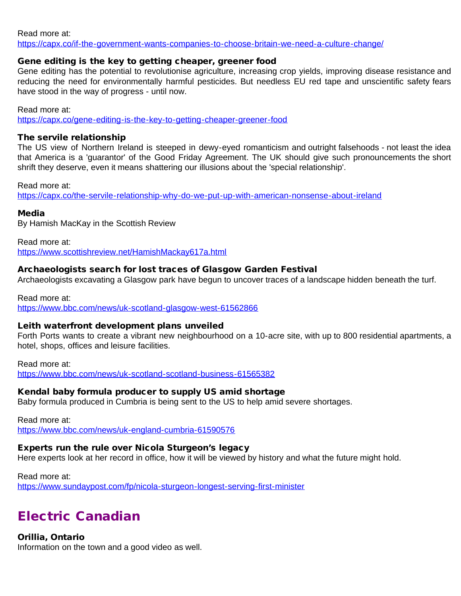Read more at:

<https://capx.co/if-the-government-wants-companies-to-choose-britain-we-need-a-culture-change/>

### Gene editing is the key to getting cheaper, greener food

Gene editing has the potential to revolutionise agriculture, increasing crop yields, improving disease resistance and reducing the need for environmentally harmful pesticides. But needless EU red tape and unscientific safety fears have stood in the way of progress - until now.

Read more at: <https://capx.co/gene-editing-is-the-key-to-getting-cheaper-greener-food>

#### The servile relationship

The US view of Northern Ireland is steeped in dewy-eyed romanticism and outright falsehoods - not least the idea that America is a 'guarantor' of the Good Friday Agreement. The UK should give such pronouncements the short shrift they deserve, even it means shattering our illusions about the 'special relationship'.

Read more at:

<https://capx.co/the-servile-relationship-why-do-we-put-up-with-american-nonsense-about-ireland>

#### Media

By Hamish MacKay in the Scottish Review

Read more at: <https://www.scottishreview.net/HamishMackay617a.html>

### Archaeologists search for lost traces of Glasgow Garden Festival

Archaeologists excavating a Glasgow park have begun to uncover traces of a landscape hidden beneath the turf.

Read more at: <https://www.bbc.com/news/uk-scotland-glasgow-west-61562866>

#### Leith waterfront development plans unveiled

Forth Ports wants to create a vibrant new neighbourhood on a 10-acre site, with up to 800 residential apartments, a hotel, shops, offices and leisure facilities.

Read more at: <https://www.bbc.com/news/uk-scotland-scotland-business-61565382>

### Kendal baby formula producer to supply US amid shortage

Baby formula produced in Cumbria is being sent to the US to help amid severe shortages.

Read more at:

<https://www.bbc.com/news/uk-england-cumbria-61590576>

# Experts run the rule over Nicola Sturgeon's legacy

Here experts look at her record in office, how it will be viewed by history and what the future might hold.

Read more at: <https://www.sundaypost.com/fp/nicola-sturgeon-longest-serving-first-minister>

# Electric Canadian

Orillia, Ontario

Information on the town and a good video as well.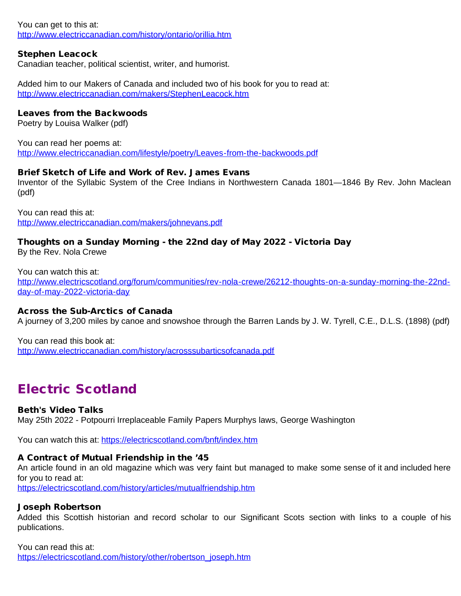You can get to this at: <http://www.electriccanadian.com/history/ontario/orillia.htm>

# Stephen Leacock

Canadian teacher, political scientist, writer, and humorist.

Added him to our Makers of Canada and included two of his book for you to read at: <http://www.electriccanadian.com/makers/StephenLeacock.htm>

## Leaves from the Backwoods

Poetry by Louisa Walker (pdf)

You can read her poems at: <http://www.electriccanadian.com/lifestyle/poetry/Leaves-from-the-backwoods.pdf>

### Brief Sketch of Life and Work of Rev. James Evans

Inventor of the Syllabic System of the Cree Indians in Northwestern Canada 1801—1846 By Rev. John Maclean (pdf)

You can read this at: <http://www.electriccanadian.com/makers/johnevans.pdf>

#### Thoughts on a Sunday Morning - the 22nd day of May 2022 - Victoria Day By the Rev. Nola Crewe

You can watch this at: [http://www.electricscotland.org/forum/communities/rev-nola-crewe/26212-thoughts-on-a-sunday-morning-the-22nd](http://www.electricscotland.org/forum/communities/rev-nola-crewe/26212-thoughts-on-a-sunday-morning-the-22nd-day-of-may-2022-victoria-day)[day-of-may-2022-victoria-day](http://www.electricscotland.org/forum/communities/rev-nola-crewe/26212-thoughts-on-a-sunday-morning-the-22nd-day-of-may-2022-victoria-day)

### Across the Sub-Arctics of Canada

A journey of 3,200 miles by canoe and snowshoe through the Barren Lands by J. W. Tyrell, C.E., D.L.S. (1898) (pdf)

You can read this book at: <http://www.electriccanadian.com/history/acrosssubarticsofcanada.pdf>

# Electric Scotland

# Beth's Video Talks

May 25th 2022 - Potpourri Irreplaceable Family Papers Murphys laws, George Washington

You can watch this at:<https://electricscotland.com/bnft/index.htm>

### A Contract of Mutual Friendship in the '45

An article found in an old magazine which was very faint but managed to make some sense of it and included here for you to read at: <https://electricscotland.com/history/articles/mutualfriendship.htm>

### Joseph Robertson

Added this Scottish historian and record scholar to our Significant Scots section with links to a couple of his publications.

You can read this at: [https://electricscotland.com/history/other/robertson\\_joseph.htm](https://electricscotland.com/history/other/robertson_joseph.htm)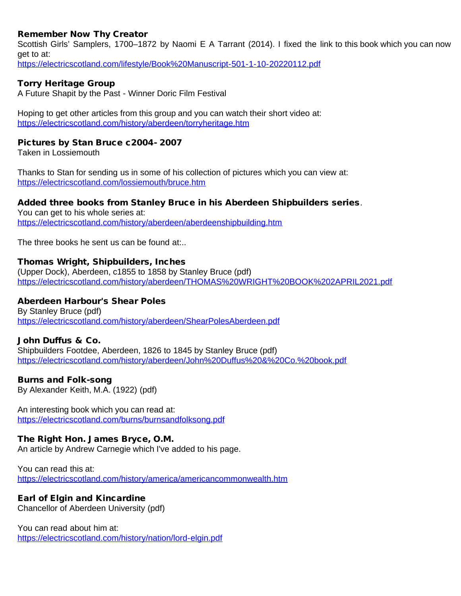# Remember Now Thy Creator

Scottish Girls' Samplers, 1700–1872 by Naomi E A Tarrant (2014). I fixed the link to this book which you can now get to at: <https://electricscotland.com/lifestyle/Book%20Manuscript-501-1-10-20220112.pdf>

## Torry Heritage Group

A Future Shapit by the Past - Winner Doric Film Festival

Hoping to get other articles from this group and you can watch their short video at: <https://electricscotland.com/history/aberdeen/torryheritage.htm>

#### Pictures by Stan Bruce c2004- 2007

Taken in Lossiemouth

Thanks to Stan for sending us in some of his collection of pictures which you can view at: <https://electricscotland.com/lossiemouth/bruce.htm>

### Added three books from Stanley Bruce in his Aberdeen Shipbuilders series.

You can get to his whole series at: <https://electricscotland.com/history/aberdeen/aberdeenshipbuilding.htm>

The three books he sent us can be found at...

### Thomas Wright, Shipbuilders, Inches

(Upper Dock), Aberdeen, c1855 to 1858 by Stanley Bruce (pdf) <https://electricscotland.com/history/aberdeen/THOMAS%20WRIGHT%20BOOK%202APRIL2021.pdf>

## Aberdeen Harbour's Shear Poles

By Stanley Bruce (pdf) <https://electricscotland.com/history/aberdeen/ShearPolesAberdeen.pdf>

### John Duffus & Co.

Shipbuilders Footdee, Aberdeen, 1826 to 1845 by Stanley Bruce (pdf) <https://electricscotland.com/history/aberdeen/John%20Duffus%20&%20Co.%20book.pdf>

### Burns and Folk-song

By Alexander Keith, M.A. (1922) (pdf)

An interesting book which you can read at: <https://electricscotland.com/burns/burnsandfolksong.pdf>

### The Right Hon. James Bryce, O.M.

An article by Andrew Carnegie which I've added to his page.

You can read this at: <https://electricscotland.com/history/america/americancommonwealth.htm>

### Earl of Elgin and Kincardine

Chancellor of Aberdeen University (pdf)

You can read about him at: <https://electricscotland.com/history/nation/lord-elgin.pdf>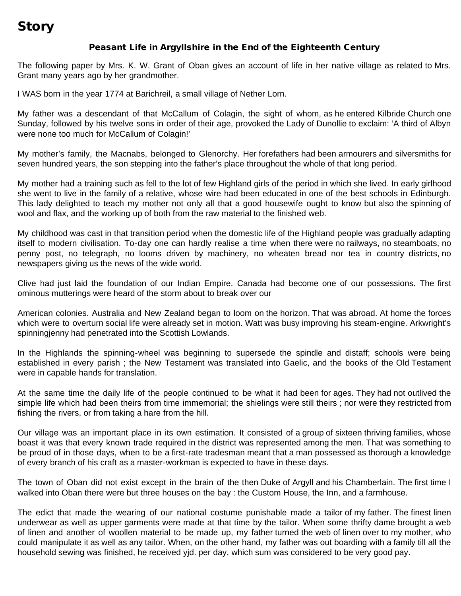# Story

# Peasant Life in Argyllshire in the End of the Eighteenth Century

The following paper by Mrs. K. W. Grant of Oban gives an account of life in her native village as related to Mrs. Grant many years ago by her grandmother.

I WAS born in the year 1774 at Barichreil, a small village of Nether Lorn.

My father was a descendant of that McCallum of Colagin, the sight of whom, as he entered Kilbride Church one Sunday, followed by his twelve sons in order of their age, provoked the Lady of Dunollie to exclaim: 'A third of Albyn were none too much for McCallum of Colagin!'

My mother's family, the Macnabs, belonged to Glenorchy. Her forefathers had been armourers and silversmiths for seven hundred years, the son stepping into the father's place throughout the whole of that long period.

My mother had a training such as fell to the lot of few Highland girls of the period in which she lived. In early girlhood she went to live in the family of a relative, whose wire had been educated in one of the best schools in Edinburgh. This lady delighted to teach my mother not only all that a good housewife ought to know but also the spinning of wool and flax, and the working up of both from the raw material to the finished web.

My childhood was cast in that transition period when the domestic life of the Highland people was gradually adapting itself to modern civilisation. To-day one can hardly realise a time when there were no railways, no steamboats, no penny post, no telegraph, no looms driven by machinery, no wheaten bread nor tea in country districts, no newspapers giving us the news of the wide world.

Clive had just laid the foundation of our Indian Empire. Canada had become one of our possessions. The first ominous mutterings were heard of the storm about to break over our

American colonies. Australia and New Zealand began to loom on the horizon. That was abroad. At home the forces which were to overturn social life were already set in motion. Watt was busy improving his steam-engine. Arkwright's spinningjenny had penetrated into the Scottish Lowlands.

In the Highlands the spinning-wheel was beginning to supersede the spindle and distaff; schools were being established in every parish ; the New Testament was translated into Gaelic, and the books of the Old Testament were in capable hands for translation.

At the same time the daily life of the people continued to be what it had been for ages. They had not outlived the simple life which had been theirs from time immemorial; the shielings were still theirs ; nor were they restricted from fishing the rivers, or from taking a hare from the hill.

Our village was an important place in its own estimation. It consisted of a group of sixteen thriving families, whose boast it was that every known trade required in the district was represented among the men. That was something to be proud of in those days, when to be a first-rate tradesman meant that a man possessed as thorough a knowledge of every branch of his craft as a master-workman is expected to have in these days.

The town of Oban did not exist except in the brain of the then Duke of Argyll and his Chamberlain. The first time I walked into Oban there were but three houses on the bay : the Custom House, the Inn, and a farmhouse.

The edict that made the wearing of our national costume punishable made a tailor of my father. The finest linen underwear as well as upper garments were made at that time by the tailor. When some thrifty dame brought a web of linen and another of woollen material to be made up, my father turned the web of linen over to my mother, who could manipulate it as well as any tailor. When, on the other hand, my father was out boarding with a family till all the household sewing was finished, he received yjd. per day, which sum was considered to be very good pay.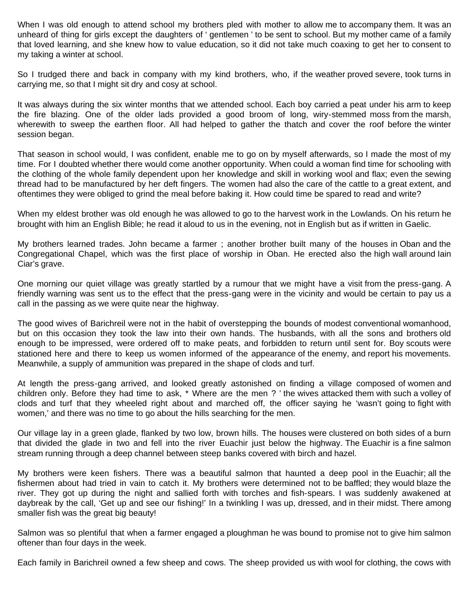When I was old enough to attend school my brothers pled with mother to allow me to accompany them. It was an unheard of thing for girls except the daughters of ' gentlemen ' to be sent to school. But my mother came of a family that loved learning, and she knew how to value education, so it did not take much coaxing to get her to consent to my taking a winter at school.

So I trudged there and back in company with my kind brothers, who, if the weather proved severe, took turns in carrying me, so that I might sit dry and cosy at school.

It was always during the six winter months that we attended school. Each boy carried a peat under his arm to keep the fire blazing. One of the older lads provided a good broom of long, wiry-stemmed moss from the marsh, wherewith to sweep the earthen floor. All had helped to gather the thatch and cover the roof before the winter session began.

That season in school would, I was confident, enable me to go on by myself afterwards, so I made the most of my time. For I doubted whether there would come another opportunity. When could a woman find time for schooling with the clothing of the whole family dependent upon her knowledge and skill in working wool and flax; even the sewing thread had to be manufactured by her deft fingers. The women had also the care of the cattle to a great extent, and oftentimes they were obliged to grind the meal before baking it. How could time be spared to read and write?

When my eldest brother was old enough he was allowed to go to the harvest work in the Lowlands. On his return he brought with him an English Bible; he read it aloud to us in the evening, not in English but as if written in Gaelic.

My brothers learned trades. John became a farmer ; another brother built many of the houses in Oban and the Congregational Chapel, which was the first place of worship in Oban. He erected also the high wall around Iain Ciar's grave.

One morning our quiet village was greatly startled by a rumour that we might have a visit from the press-gang. A friendly warning was sent us to the effect that the press-gang were in the vicinity and would be certain to pay us a call in the passing as we were quite near the highway.

The good wives of Barichreil were not in the habit of overstepping the bounds of modest conventional womanhood, but on this occasion they took the law into their own hands. The husbands, with all the sons and brothers old enough to be impressed, were ordered off to make peats, and forbidden to return until sent for. Boy scouts were stationed here and there to keep us women informed of the appearance of the enemy, and report his movements. Meanwhile, a supply of ammunition was prepared in the shape of clods and turf.

At length the press-gang arrived, and looked greatly astonished on finding a village composed of women and children only. Before they had time to ask, \* Where are the men ? ' the wives attacked them with such a volley of clods and turf that they wheeled right about and marched off, the officer saying he 'wasn't going to fight with women,' and there was no time to go about the hills searching for the men.

Our village lay in a green glade, flanked by two low, brown hills. The houses were clustered on both sides of a burn that divided the glade in two and fell into the river Euachir just below the highway. The Euachir is a fine salmon stream running through a deep channel between steep banks covered with birch and hazel.

My brothers were keen fishers. There was a beautiful salmon that haunted a deep pool in the Euachir; all the fishermen about had tried in vain to catch it. My brothers were determined not to be baffled; they would blaze the river. They got up during the night and sallied forth with torches and fish-spears. I was suddenly awakened at daybreak by the call, 'Get up and see our fishing!' In a twinkling I was up, dressed, and in their midst. There among smaller fish was the great big beauty!

Salmon was so plentiful that when a farmer engaged a ploughman he was bound to promise not to give him salmon oftener than four days in the week.

Each family in Barichreil owned a few sheep and cows. The sheep provided us with wool for clothing, the cows with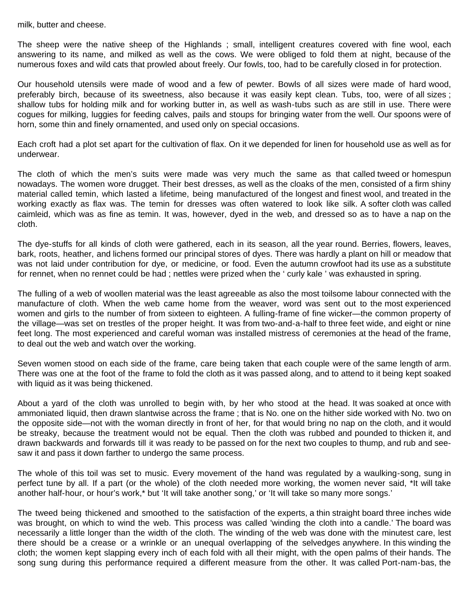milk, butter and cheese.

The sheep were the native sheep of the Highlands ; small, intelligent creatures covered with fine wool, each answering to its name, and milked as well as the cows. We were obliged to fold them at night, because of the numerous foxes and wild cats that prowled about freely. Our fowls, too, had to be carefully closed in for protection.

Our household utensils were made of wood and a few of pewter. Bowls of all sizes were made of hard wood, preferably birch, because of its sweetness, also because it was easily kept clean. Tubs, too, were of all sizes ; shallow tubs for holding milk and for working butter in, as well as wash-tubs such as are still in use. There were cogues for milking, luggies for feeding calves, pails and stoups for bringing water from the well. Our spoons were of horn, some thin and finely ornamented, and used only on special occasions.

Each croft had a plot set apart for the cultivation of flax. On it we depended for linen for household use as well as for underwear.

The cloth of which the men's suits were made was very much the same as that called tweed or homespun nowadays. The women wore drugget. Their best dresses, as well as the cloaks of the men, consisted of a firm shiny material called temin, which lasted a lifetime, being manufactured of the longest and finest wool, and treated in the working exactly as flax was. The temin for dresses was often watered to look like silk. A softer cloth was called caimleid, which was as fine as temin. It was, however, dyed in the web, and dressed so as to have a nap on the cloth.

The dye-stuffs for all kinds of cloth were gathered, each in its season, all the year round. Berries, flowers, leaves, bark, roots, heather, and lichens formed our principal stores of dyes. There was hardly a plant on hill or meadow that was not laid under contribution for dye, or medicine, or food. Even the autumn crowfoot had its use as a substitute for rennet, when no rennet could be had ; nettles were prized when the ' curly kale ' was exhausted in spring.

The fulling of a web of woollen material was the least agreeable as also the most toilsome labour connected with the manufacture of cloth. When the web came home from the weaver, word was sent out to the most experienced women and girls to the number of from sixteen to eighteen. A fulling-frame of fine wicker—the common property of the village—was set on trestles of the proper height. It was from two-and-a-half to three feet wide, and eight or nine feet long. The most experienced and careful woman was installed mistress of ceremonies at the head of the frame, to deal out the web and watch over the working.

Seven women stood on each side of the frame, care being taken that each couple were of the same length of arm. There was one at the foot of the frame to fold the cloth as it was passed along, and to attend to it being kept soaked with liquid as it was being thickened.

About a yard of the cloth was unrolled to begin with, by her who stood at the head. It was soaked at once with ammoniated liquid, then drawn slantwise across the frame ; that is No. one on the hither side worked with No. two on the opposite side—not with the woman directly in front of her, for that would bring no nap on the cloth, and it would be streaky, because the treatment would not be equal. Then the cloth was rubbed and pounded to thicken it, and drawn backwards and forwards till it was ready to be passed on for the next two couples to thump, and rub and seesaw it and pass it down farther to undergo the same process.

The whole of this toil was set to music. Every movement of the hand was regulated by a waulking-song, sung in perfect tune by all. If a part (or the whole) of the cloth needed more working, the women never said, \*It will take another half-hour, or hour's work,\* but 'It will take another song,' or 'It will take so many more songs.'

The tweed being thickened and smoothed to the satisfaction of the experts, a thin straight board three inches wide was brought, on which to wind the web. This process was called 'winding the cloth into a candle.' The board was necessarily a little longer than the width of the cloth. The winding of the web was done with the minutest care, lest there should be a crease or a wrinkle or an unequal overlapping of the selvedges anywhere. In this winding the cloth; the women kept slapping every inch of each fold with all their might, with the open palms of their hands. The song sung during this performance required a different measure from the other. It was called Port-nam-bas, the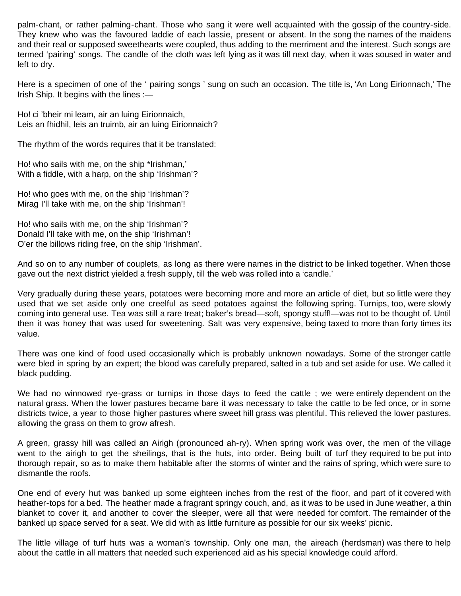palm-chant, or rather palming-chant. Those who sang it were well acquainted with the gossip of the country-side. They knew who was the favoured laddie of each lassie, present or absent. In the song the names of the maidens and their real or supposed sweethearts were coupled, thus adding to the merriment and the interest. Such songs are termed 'pairing' songs. The candle of the cloth was left lying as it was till next day, when it was soused in water and left to dry.

Here is a specimen of one of the ' pairing songs ' sung on such an occasion. The title is, 'An Long Eirionnach,' The Irish Ship. It begins with the lines :-

Ho! ci 'bheir mi leam, air an luing Eirionnaich, Leis an fhidhil, leis an truimb, air an luing Eirionnaich?

The rhythm of the words requires that it be translated:

Ho! who sails with me, on the ship \*Irishman,' With a fiddle, with a harp, on the ship 'Irishman'?

Ho! who goes with me, on the ship 'Irishman'? Mirag I'll take with me, on the ship 'Irishman'!

Ho! who sails with me, on the ship 'Irishman'? Donald I'll take with me, on the ship 'Irishman'! O'er the billows riding free, on the ship 'Irishman'.

And so on to any number of couplets, as long as there were names in the district to be linked together. When those gave out the next district yielded a fresh supply, till the web was rolled into a 'candle.'

Very gradually during these years, potatoes were becoming more and more an article of diet, but so little were they used that we set aside only one creelful as seed potatoes against the following spring. Turnips, too, were slowly coming into general use. Tea was still a rare treat; baker's bread—soft, spongy stuff!—was not to be thought of. Until then it was honey that was used for sweetening. Salt was very expensive, being taxed to more than forty times its value.

There was one kind of food used occasionally which is probably unknown nowadays. Some of the stronger cattle were bled in spring by an expert; the blood was carefully prepared, salted in a tub and set aside for use. We called it black pudding.

We had no winnowed rye-grass or turnips in those days to feed the cattle ; we were entirely dependent on the natural grass. When the lower pastures became bare it was necessary to take the cattle to be fed once, or in some districts twice, a year to those higher pastures where sweet hill grass was plentiful. This relieved the lower pastures, allowing the grass on them to grow afresh.

A green, grassy hill was called an Airigh (pronounced ah-ry). When spring work was over, the men of the village went to the airigh to get the sheilings, that is the huts, into order. Being built of turf they required to be put into thorough repair, so as to make them habitable after the storms of winter and the rains of spring, which were sure to dismantle the roofs.

One end of every hut was banked up some eighteen inches from the rest of the floor, and part of it covered with heather-tops for a bed. The heather made a fragrant springy couch, and, as it was to be used in June weather, a thin blanket to cover it, and another to cover the sleeper, were all that were needed for comfort. The remainder of the banked up space served for a seat. We did with as little furniture as possible for our six weeks' picnic.

The little village of turf huts was a woman's township. Only one man, the aireach (herdsman) was there to help about the cattle in all matters that needed such experienced aid as his special knowledge could afford.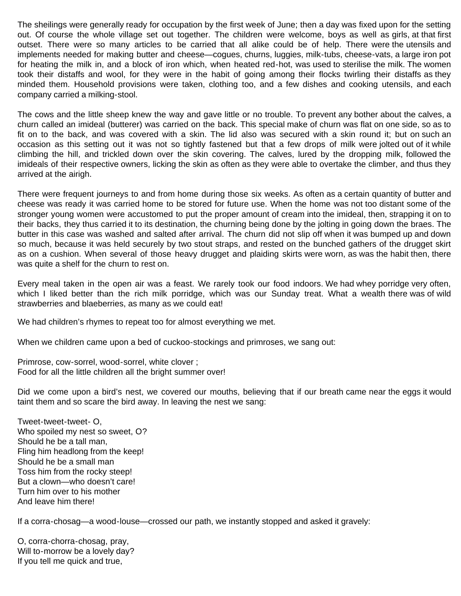The sheilings were generally ready for occupation by the first week of June; then a day was fixed upon for the setting out. Of course the whole village set out together. The children were welcome, boys as well as girls, at that first outset. There were so many articles to be carried that all alike could be of help. There were the utensils and implements needed for making butter and cheese—cogues, churns, luggies, milk-tubs, cheese-vats, a large iron pot for heating the milk in, and a block of iron which, when heated red-hot, was used to sterilise the milk. The women took their distaffs and wool, for they were in the habit of going among their flocks twirling their distaffs as they minded them. Household provisions were taken, clothing too, and a few dishes and cooking utensils, and each company carried a milking-stool.

The cows and the little sheep knew the way and gave little or no trouble. To prevent any bother about the calves, a churn called an imideal (butterer) was carried on the back. This special make of churn was flat on one side, so as to fit on to the back, and was covered with a skin. The lid also was secured with a skin round it; but on such an occasion as this setting out it was not so tightly fastened but that a few drops of milk were jolted out of it while climbing the hill, and trickled down over the skin covering. The calves, lured by the dropping milk, followed the imideals of their respective owners, licking the skin as often as they were able to overtake the climber, and thus they arrived at the airigh.

There were frequent journeys to and from home during those six weeks. As often as a certain quantity of butter and cheese was ready it was carried home to be stored for future use. When the home was not too distant some of the stronger young women were accustomed to put the proper amount of cream into the imideal, then, strapping it on to their backs, they thus carried it to its destination, the churning being done by the jolting in going down the braes. The butter in this case was washed and salted after arrival. The churn did not slip off when it was bumped up and down so much, because it was held securely by two stout straps, and rested on the bunched gathers of the drugget skirt as on a cushion. When several of those heavy drugget and plaiding skirts were worn, as was the habit then, there was quite a shelf for the churn to rest on.

Every meal taken in the open air was a feast. We rarely took our food indoors. We had whey porridge very often, which I liked better than the rich milk porridge, which was our Sunday treat. What a wealth there was of wild strawberries and blaeberries, as many as we could eat!

We had children's rhymes to repeat too for almost everything we met.

When we children came upon a bed of cuckoo-stockings and primroses, we sang out:

Primrose, cow-sorrel, wood-sorrel, white clover ; Food for all the little children all the bright summer over!

Did we come upon a bird's nest, we covered our mouths, believing that if our breath came near the eggs it would taint them and so scare the bird away. In leaving the nest we sang:

Tweet-tweet-tweet- O, Who spoiled my nest so sweet, O? Should he be a tall man, Fling him headlong from the keep! Should he be a small man Toss him from the rocky steep! But a clown—who doesn't care! Turn him over to his mother And leave him there!

If a corra-chosag—a wood-louse—crossed our path, we instantly stopped and asked it gravely:

O, corra-chorra-chosag, pray, Will to-morrow be a lovely day? If you tell me quick and true,